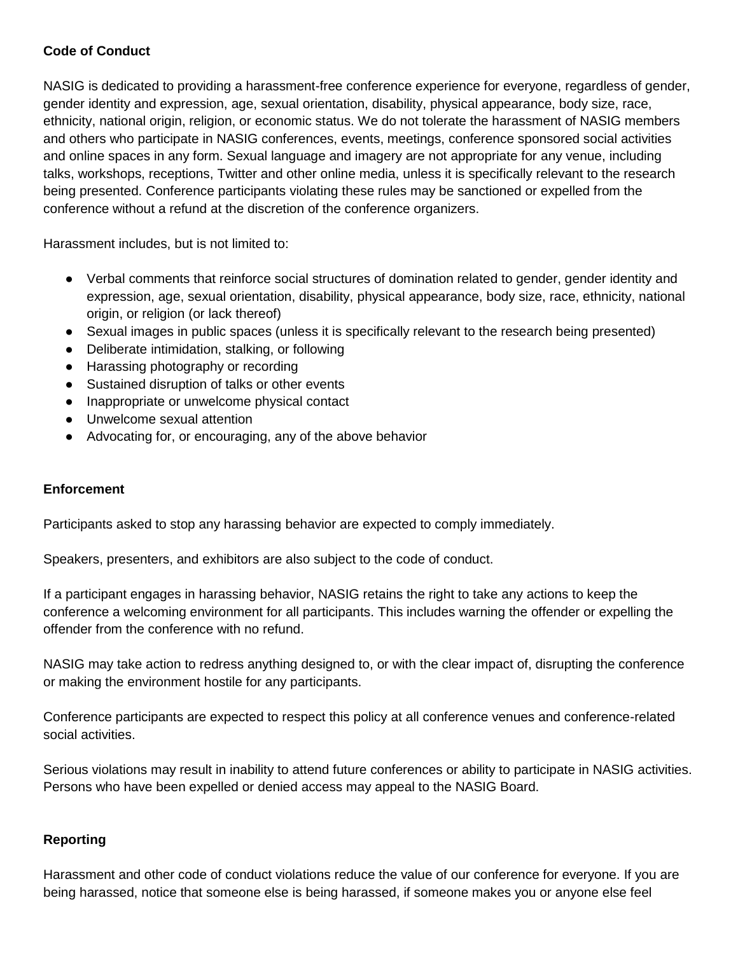## **Code of Conduct**

NASIG is dedicated to providing a harassment-free conference experience for everyone, regardless of gender, gender identity and expression, age, sexual orientation, disability, physical appearance, body size, race, ethnicity, national origin, religion, or economic status. We do not tolerate the harassment of NASIG members and others who participate in NASIG conferences, events, meetings, conference sponsored social activities and online spaces in any form. Sexual language and imagery are not appropriate for any venue, including talks, workshops, receptions, Twitter and other online media, unless it is specifically relevant to the research being presented. Conference participants violating these rules may be sanctioned or expelled from the conference without a refund at the discretion of the conference organizers.

Harassment includes, but is not limited to:

- Verbal comments that reinforce social structures of domination related to gender, gender identity and expression, age, sexual orientation, disability, physical appearance, body size, race, ethnicity, national origin, or religion (or lack thereof)
- Sexual images in public spaces (unless it is specifically relevant to the research being presented)
- Deliberate intimidation, stalking, or following
- Harassing photography or recording
- Sustained disruption of talks or other events
- Inappropriate or unwelcome physical contact
- Unwelcome sexual attention
- Advocating for, or encouraging, any of the above behavior

#### **Enforcement**

Participants asked to stop any harassing behavior are expected to comply immediately.

Speakers, presenters, and exhibitors are also subject to the code of conduct.

If a participant engages in harassing behavior, NASIG retains the right to take any actions to keep the conference a welcoming environment for all participants. This includes warning the offender or expelling the offender from the conference with no refund.

NASIG may take action to redress anything designed to, or with the clear impact of, disrupting the conference or making the environment hostile for any participants.

Conference participants are expected to respect this policy at all conference venues and conference-related social activities.

Serious violations may result in inability to attend future conferences or ability to participate in NASIG activities. Persons who have been expelled or denied access may appeal to the NASIG Board.

#### **Reporting**

Harassment and other code of conduct violations reduce the value of our conference for everyone. If you are being harassed, notice that someone else is being harassed, if someone makes you or anyone else feel